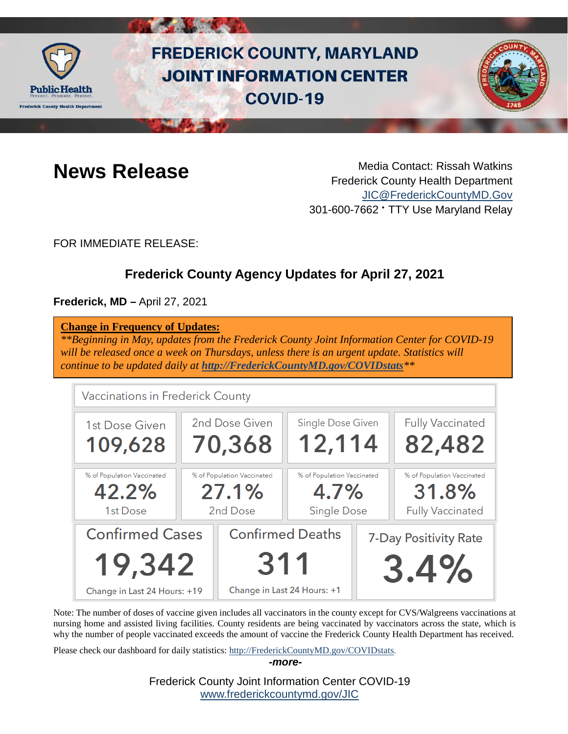

# **FREDERICK COUNTY, MARYLAND JOINT INFORMATION CENTER COVID-19**



**News Release** Media Contact: Rissah Watkins Frederick County Health Department [JIC@FrederickCountyMD.Gov](mailto:JIC@FrederickCountyMD.Gov) 301-600-7662 • TTY Use Maryland Relay

FOR IMMEDIATE RELEASE:

# **Frederick County Agency Updates for April 27, 2021**

**Frederick, MD –** April 27, 2021

| <b>Change in Frequency of Updates:</b><br>will be released once a week on Thursdays, unless there is an urgent update. Statistics will<br>continue to be updated daily at http://FrederickCountyMD.gov/COVIDstats** |                                                 |                                                               |                                                          |                               | **Beginning in May, updates from the Frederick County Joint Information Center for COVID-19 |
|---------------------------------------------------------------------------------------------------------------------------------------------------------------------------------------------------------------------|-------------------------------------------------|---------------------------------------------------------------|----------------------------------------------------------|-------------------------------|---------------------------------------------------------------------------------------------|
| Vaccinations in Frederick County                                                                                                                                                                                    |                                                 |                                                               |                                                          |                               |                                                                                             |
| 1st Dose Given<br>109,628                                                                                                                                                                                           |                                                 | 2nd Dose Given<br>70,368                                      | <b>Single Dose Given</b><br>12,114                       |                               | <b>Fully Vaccinated</b><br>82,482                                                           |
| % of Population Vaccinated<br>42.2%<br>1st Dose                                                                                                                                                                     | % of Population Vaccinated<br>27.1%<br>2nd Dose |                                                               | % of Population Vaccinated<br>4.7%<br><b>Single Dose</b> |                               | % of Population Vaccinated<br>31.8%<br><b>Fully Vaccinated</b>                              |
| <b>Confirmed Cases</b><br>19,342<br>Change in Last 24 Hours: +19                                                                                                                                                    |                                                 | <b>Confirmed Deaths</b><br>311<br>Change in Last 24 Hours: +1 |                                                          | 7-Day Positivity Rate<br>3.4% |                                                                                             |

Note: The number of doses of vaccine given includes all vaccinators in the county except for CVS/Walgreens vaccinations at nursing home and assisted living facilities. County residents are being vaccinated by vaccinators across the state, which is why the number of people vaccinated exceeds the amount of vaccine the Frederick County Health Department has received.

Please check our dashboard for daily statistics: [http://FrederickCountyMD.gov/COVIDstats.](http://frederickcountymd.gov/COVIDstats)

*-more-*

Frederick County Joint Information Center COVID-19 [www.frederickcountymd.gov/JIC](https://frederickcountymd.gov/JIC)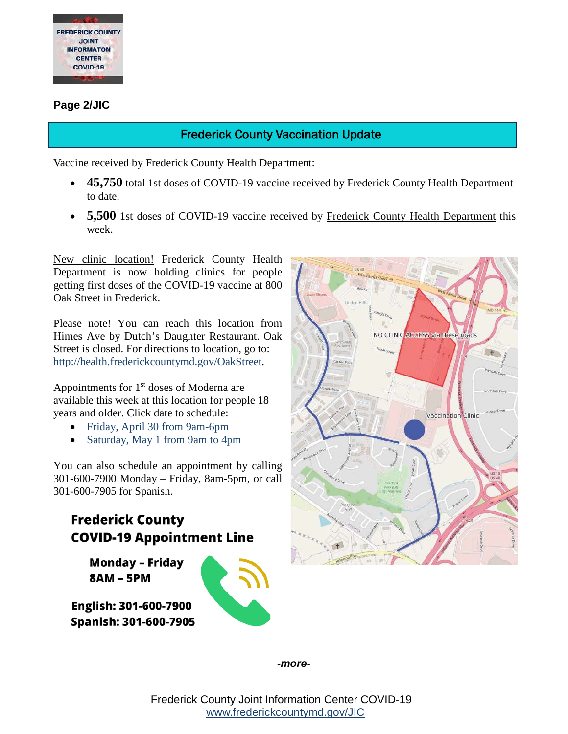

#### **Page 2/JIC**

# Frederick County Vaccination Update

Vaccine received by Frederick County Health Department:

- 45,750 total 1st doses of COVID-19 vaccine received by Frederick County Health Department to date.
- 5,500 1st doses of COVID-19 vaccine received by Frederick County Health Department this week.

New clinic location! Frederick County Health Department is now holding clinics for people getting first doses of the COVID-19 vaccine at 800 Oak Street in Frederick.

Please note! You can reach this location from Himes Ave by Dutch's Daughter Restaurant. Oak Street is closed. For directions to location, go to: [http://health.frederickcountymd.gov/OakStreet.](http://health.frederickcountymd.gov/OakStreet)

Appointments for  $1<sup>st</sup>$  doses of Moderna are available this week at this location for people 18 years and older. Click date to schedule:

- [Friday, April 30 from 9am-6pm](https://www.marylandvax.org/client/registration?clinic_id=11526)
- [Saturday, May 1 from 9am to 4pm](https://www.marylandvax.org/client/registration?clinic_id=11527)

You can also schedule an appointment by calling 301-600-7900 Monday – Friday, 8am-5pm, or call 301-600-7905 for Spanish.



**8AM - 5PM** 

English: 301-600-7900 Spanish: 301-600-7905



*-more-*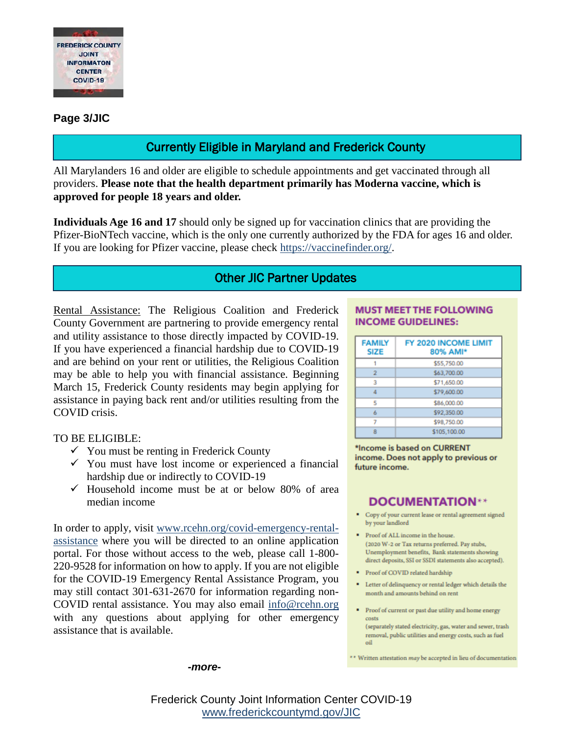

### **Page 3/JIC**

# Currently Eligible in Maryland and Frederick County

All Marylanders 16 and older are eligible to schedule appointments and get vaccinated through all providers. **Please note that the health department primarily has Moderna vaccine, which is approved for people 18 years and older.**

**Individuals Age 16 and 17** should only be signed up for vaccination clinics that are providing the Pfizer-BioNTech vaccine, which is the only one currently authorized by the FDA for ages 16 and older. If you are looking for Pfizer vaccine, please check [https://vaccinefinder.org/.](https://vaccinefinder.org/)

## Other JIC Partner Updates

Rental Assistance: The Religious Coalition and Frederick County Government are partnering to provide emergency rental and utility assistance to those directly impacted by COVID-19. If you have experienced a financial hardship due to COVID-19 and are behind on your rent or utilities, the Religious Coalition may be able to help you with financial assistance. Beginning March 15, Frederick County residents may begin applying for assistance in paying back rent and/or utilities resulting from the COVID crisis.

TO BE ELIGIBLE:

- $\checkmark$  You must be renting in Frederick County
- $\checkmark$  You must have lost income or experienced a financial hardship due or indirectly to COVID-19
- $\checkmark$  Household income must be at or below 80% of area median income

In order to apply, visit [www.rcehn.org/covid-emergency-rental](http://www.rcehn.org/covid-emergency-rental-assistance)[assistance](http://www.rcehn.org/covid-emergency-rental-assistance) where you will be directed to an online application portal. For those without access to the web, please call 1-800- 220-9528 for information on how to apply. If you are not eligible for the COVID-19 Emergency Rental Assistance Program, you may still contact 301-631-2670 for information regarding non-COVID rental assistance. You may also email [info@rcehn.org](mailto:info@rcehn.org) with any questions about applying for other emergency assistance that is available.

*-more-*

#### **MUST MEET THE FOLLOWING INCOME GUIDELINES:**

| <b>FAMILY</b><br><b>SIZE</b> | FY 2020 INCOME LIMIT<br>80% AMI* |
|------------------------------|----------------------------------|
|                              | \$55,750.00                      |
| 2                            | \$63,700.00                      |
| 3                            | \$71,650.00                      |
|                              | \$79,600.00                      |
| 5                            | \$86,000.00                      |
| 6                            | \$92,350.00                      |
|                              | \$98,750.00                      |
|                              | \$105,100.00                     |

\*Income is based on CURRENT income. Does not apply to previous or future income.

### **DOCUMENTATION\*\***

- Copy of your current lease or rental agreement signed by your landlord
- Proof of ALL income in the house. (2020 W-2 or Tax returns preferred. Pay stubs, Unemployment benefits, Bank statements showing direct deposits, SSI or SSDI statements also accepted).
- Proof of COVID related hardship
- " Letter of delinquency or rental ledger which details the month and amounts behind on rent
- Proof of current or past due utility and home energy costs (separately stated electricity, gas, water and sewer, trash

\*\* Written attestation may be accepted in lieu of documentation

removal, public utilities and energy costs, such as fuel oil